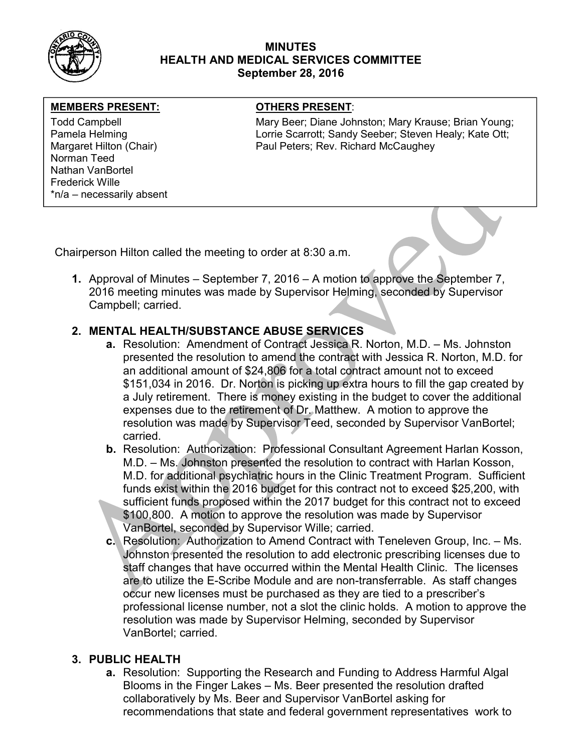

## MINUTES HEALTH AND MEDICAL SERVICES COMMITTEE September 28, 2016

## MEMBERS PRESENT: **The OTHERS PRESENT:**

Norman Teed Nathan VanBortel Frederick Wille \*n/a – necessarily absent

Todd Campbell **Mary Beer; Diane Johnston; Mary Krause**; Brian Young; Mary Krause; Brian Young; Pamela Helming **Lorrie Scarrott: Sandy Seeber**; Steven Healy; Kate Ott; Carrott; Lorrie Scarrott; Sandy Seeber; Steven Healy; Kate Ott; Margaret Hilton (Chair) Paul Peters; Rev. Richard McCaughey

Chairperson Hilton called the meeting to order at 8:30 a.m.

1. Approval of Minutes – September 7, 2016 – A motion to approve the September 7, 2016 meeting minutes was made by Supervisor Helming, seconded by Supervisor Campbell; carried.

# 2. MENTAL HEALTH/SUBSTANCE ABUSE SERVICES

- a. Resolution: Amendment of Contract Jessica R. Norton, M.D. Ms. Johnston presented the resolution to amend the contract with Jessica R. Norton, M.D. for an additional amount of \$24,806 for a total contract amount not to exceed \$151,034 in 2016. Dr. Norton is picking up extra hours to fill the gap created by a July retirement. There is money existing in the budget to cover the additional expenses due to the retirement of Dr. Matthew. A motion to approve the resolution was made by Supervisor Teed, seconded by Supervisor VanBortel; carried.
- b. Resolution: Authorization: Professional Consultant Agreement Harlan Kosson, M.D. – Ms. Johnston presented the resolution to contract with Harlan Kosson, M.D. for additional psychiatric hours in the Clinic Treatment Program. Sufficient funds exist within the 2016 budget for this contract not to exceed \$25,200, with sufficient funds proposed within the 2017 budget for this contract not to exceed \$100,800. A motion to approve the resolution was made by Supervisor VanBortel, seconded by Supervisor Wille; carried.
- c. Resolution: Authorization to Amend Contract with Teneleven Group, Inc. Ms. Johnston presented the resolution to add electronic prescribing licenses due to staff changes that have occurred within the Mental Health Clinic. The licenses are to utilize the E-Scribe Module and are non-transferrable. As staff changes occur new licenses must be purchased as they are tied to a prescriber's professional license number, not a slot the clinic holds. A motion to approve the resolution was made by Supervisor Helming, seconded by Supervisor VanBortel; carried.

## 3. PUBLIC HEALTH

a. Resolution: Supporting the Research and Funding to Address Harmful Algal Blooms in the Finger Lakes – Ms. Beer presented the resolution drafted collaboratively by Ms. Beer and Supervisor VanBortel asking for recommendations that state and federal government representatives work to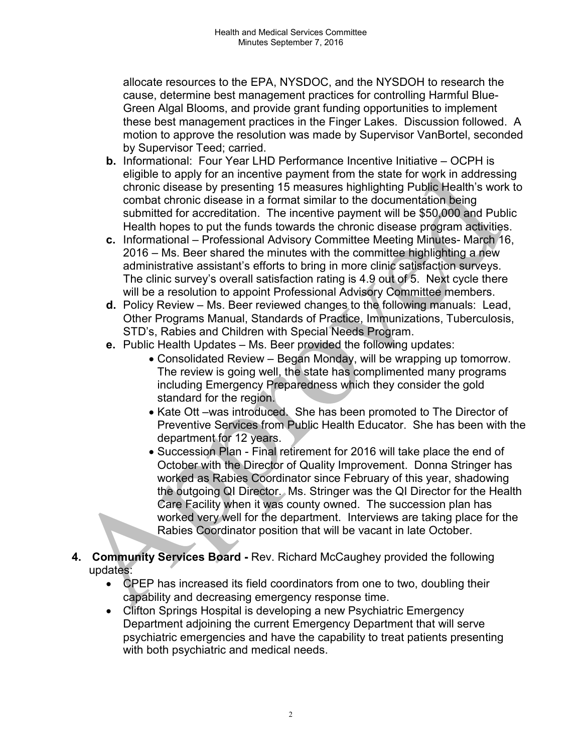allocate resources to the EPA, NYSDOC, and the NYSDOH to research the cause, determine best management practices for controlling Harmful Blue-Green Algal Blooms, and provide grant funding opportunities to implement these best management practices in the Finger Lakes. Discussion followed. A motion to approve the resolution was made by Supervisor VanBortel, seconded by Supervisor Teed; carried.

- b. Informational: Four Year LHD Performance Incentive Initiative OCPH is eligible to apply for an incentive payment from the state for work in addressing chronic disease by presenting 15 measures highlighting Public Health's work to combat chronic disease in a format similar to the documentation being submitted for accreditation. The incentive payment will be \$50,000 and Public Health hopes to put the funds towards the chronic disease program activities.
- c. Informational Professional Advisory Committee Meeting Minutes- March 16, 2016 – Ms. Beer shared the minutes with the committee highlighting a new administrative assistant's efforts to bring in more clinic satisfaction surveys. The clinic survey's overall satisfaction rating is 4.9 out of 5. Next cycle there will be a resolution to appoint Professional Advisory Committee members.
- d. Policy Review Ms. Beer reviewed changes to the following manuals: Lead, Other Programs Manual, Standards of Practice, Immunizations, Tuberculosis, STD's, Rabies and Children with Special Needs Program.
- e. Public Health Updates Ms. Beer provided the following updates:
	- Consolidated Review Began Monday, will be wrapping up tomorrow. The review is going well, the state has complimented many programs including Emergency Preparedness which they consider the gold standard for the region.
	- Kate Ott –was introduced. She has been promoted to The Director of Preventive Services from Public Health Educator. She has been with the department for 12 years.
	- Succession Plan Final retirement for 2016 will take place the end of October with the Director of Quality Improvement. Donna Stringer has worked as Rabies Coordinator since February of this year, shadowing the outgoing QI Director. Ms. Stringer was the QI Director for the Health Care Facility when it was county owned. The succession plan has worked very well for the department. Interviews are taking place for the Rabies Coordinator position that will be vacant in late October.
- 4. Community Services Board Rev. Richard McCaughey provided the following updates:
	- CPEP has increased its field coordinators from one to two, doubling their capability and decreasing emergency response time.
	- Clifton Springs Hospital is developing a new Psychiatric Emergency Department adjoining the current Emergency Department that will serve psychiatric emergencies and have the capability to treat patients presenting with both psychiatric and medical needs.